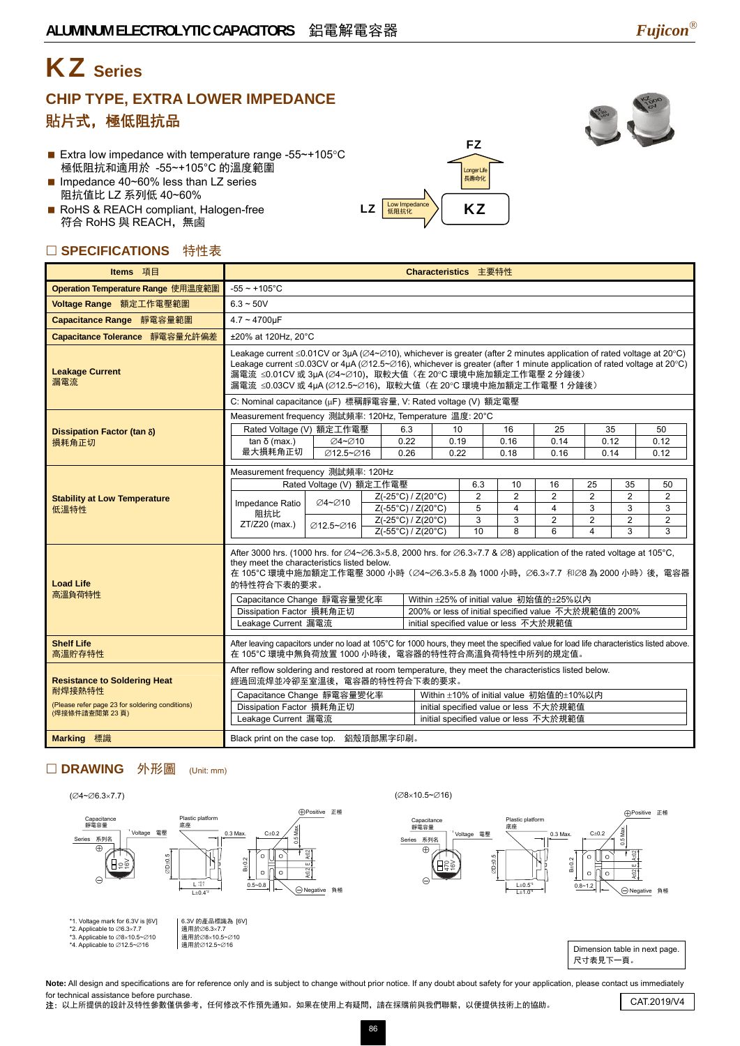# KZ **Series**

### **CHIP TYPE, EXTRA LOWER IMPEDANCE**  貼片式,極低阻抗品

- Extra low impedance with temperature range -55~+105°C 極低阻抗和適用於 -55~+105°C 的溫度範圍
- Impedance 40~60% less than LZ series 阻抗值比 LZ 系列低 40~60%
- RoHS & REACH compliant, Halogen-free 符合 RoHS 與 REACH,無鹵

### □ SPECIFICATIONS 特性表





| Items 項目                                                                                         |                                                                                                                                                                                                                                                                                                                                                                                                                                                                                                                                                   |                          |  |                    |              | Characteristics 主要特性  |                                        |                      |                      |                      |                |  |
|--------------------------------------------------------------------------------------------------|---------------------------------------------------------------------------------------------------------------------------------------------------------------------------------------------------------------------------------------------------------------------------------------------------------------------------------------------------------------------------------------------------------------------------------------------------------------------------------------------------------------------------------------------------|--------------------------|--|--------------------|--------------|-----------------------|----------------------------------------|----------------------|----------------------|----------------------|----------------|--|
| Operation Temperature Range 使用温度範圍                                                               | $-55 \sim +105$ °C                                                                                                                                                                                                                                                                                                                                                                                                                                                                                                                                |                          |  |                    |              |                       |                                        |                      |                      |                      |                |  |
| Voltage Range 額定工作電壓範圍                                                                           | $6.3 - 50V$                                                                                                                                                                                                                                                                                                                                                                                                                                                                                                                                       |                          |  |                    |              |                       |                                        |                      |                      |                      |                |  |
| Capacitance Range 靜電容量範圍                                                                         | $4.7 \sim 4700$ uF                                                                                                                                                                                                                                                                                                                                                                                                                                                                                                                                |                          |  |                    |              |                       |                                        |                      |                      |                      |                |  |
| Capacitance Tolerance 靜電容量允許偏差                                                                   | ±20% at 120Hz, 20°C                                                                                                                                                                                                                                                                                                                                                                                                                                                                                                                               |                          |  |                    |              |                       |                                        |                      |                      |                      |                |  |
| <b>Leakage Current</b><br>漏電流                                                                    | Leakage current ≤0.01CV or 3µA (Ø4~Ø10), whichever is greater (after 2 minutes application of rated voltage at 20°C)<br>Leakage current ≤0.03CV or 4µA (Ø12.5~Ø16), whichever is greater (after 1 minute application of rated voltage at 20°C)<br>漏電流 ≤0.01CV 或 3µA (∅4~∅10), 取較大值 (在 20℃ 環境中施加額定工作電壓 2 分鐘後)<br>漏電流 ≤0.03CV 或 4µA (∅12.5~∅16), 取較大值 (在 20°C 環境中施加額定工作電壓 1 分鐘後)<br>C: Nominal capacitance (µF) 標稱靜電容量, V: Rated voltage (V) 額定電壓                                                                                                   |                          |  |                    |              |                       |                                        |                      |                      |                      |                |  |
|                                                                                                  | Measurement frequency 測試頻率: 120Hz, Temperature 温度: 20°C                                                                                                                                                                                                                                                                                                                                                                                                                                                                                           |                          |  |                    |              |                       |                                        |                      |                      |                      |                |  |
| Dissipation Factor (tan δ)                                                                       | Rated Voltage (V) 額定工作電壓                                                                                                                                                                                                                                                                                                                                                                                                                                                                                                                          |                          |  | 6.3                | 10           |                       | 16                                     | 25                   | 35                   |                      | 50             |  |
| 損耗角正切                                                                                            | $tan δ$ (max.)<br>最大損耗角正切                                                                                                                                                                                                                                                                                                                                                                                                                                                                                                                         | <b>⊘4~⊘10</b>            |  | 0.22<br>0.26       | 0.19<br>0.22 |                       | 0.16<br>0.18                           | 0.14<br>0.16         | 0.12<br>0.14         |                      | 0.12<br>0.12   |  |
|                                                                                                  |                                                                                                                                                                                                                                                                                                                                                                                                                                                                                                                                                   | Ø12.5~Ø16                |  |                    |              |                       |                                        |                      |                      |                      |                |  |
|                                                                                                  | Measurement frequency 測試頻率: 120Hz                                                                                                                                                                                                                                                                                                                                                                                                                                                                                                                 |                          |  |                    |              |                       |                                        |                      |                      |                      |                |  |
|                                                                                                  |                                                                                                                                                                                                                                                                                                                                                                                                                                                                                                                                                   | Rated Voltage (V) 額定工作電壓 |  | Z(-25°C) / Z(20°C) |              | 6.3<br>$\overline{2}$ | 10<br>$\overline{2}$                   | 16<br>$\overline{2}$ | 25<br>$\overline{2}$ | 35<br>$\overline{2}$ | 50<br>2        |  |
| <b>Stability at Low Temperature</b><br>低溫特性                                                      | Impedance Ratio                                                                                                                                                                                                                                                                                                                                                                                                                                                                                                                                   | <b>⊘4~⊘10</b>            |  | Z(-55°C) / Z(20°C) |              | 5                     | 4                                      | 4                    | 3                    | 3                    | 3              |  |
|                                                                                                  | 阻抗比<br>ZT/Z20 (max.)                                                                                                                                                                                                                                                                                                                                                                                                                                                                                                                              | <b>Ø12.5∼Ø16</b>         |  | Z(-25°C) / Z(20°C) |              | 3                     | 3                                      | $\overline{2}$       | $\overline{2}$       | $\overline{2}$       | $\overline{2}$ |  |
|                                                                                                  |                                                                                                                                                                                                                                                                                                                                                                                                                                                                                                                                                   |                          |  | Z(-55°C) / Z(20°C) | 10           |                       | 8                                      | 6                    | 4                    | 3                    | 3              |  |
| <b>Load Life</b><br>高溫負荷特性                                                                       | After 3000 hrs. (1000 hrs. for $\emptyset$ 4~ $\emptyset$ 6.3×5.8, 2000 hrs. for $\emptyset$ 6.3×7.7 & $\emptyset$ 8) application of the rated voltage at 105°C,<br>they meet the characteristics listed below.<br>在 105℃ 環境中施加額定工作電壓 3000 小時 (∅4~∅6.3×5.8 為 1000 小時, ∅6.3×7.7 和∅8 為 2000 小時) 後, 電容器<br>的特性符合下表的要求。<br>Within ±25% of initial value 初始值的±25%以内<br>Capacitance Change 靜電容量變化率<br>Dissipation Factor 損耗角正切<br>200% or less of initial specified value 不大於規範值的 200%<br>Leakage Current 漏電流<br>initial specified value or less 不大於規範值 |                          |  |                    |              |                       |                                        |                      |                      |                      |                |  |
| <b>Shelf Life</b><br>高溫貯存特性                                                                      | After leaving capacitors under no load at 105°C for 1000 hours, they meet the specified value for load life characteristics listed above.<br>在 105℃ 環境中無負荷放置 1000 小時後, 電容器的特性符合高溫負荷特性中所列的規定值。                                                                                                                                                                                                                                                                                                                                                     |                          |  |                    |              |                       |                                        |                      |                      |                      |                |  |
| <b>Resistance to Soldering Heat</b><br>耐焊接熱特性<br>(Please refer page 23 for soldering conditions) | After reflow soldering and restored at room temperature, they meet the characteristics listed below.<br>經過回流焊並冷卻至室溫後,電容器的特性符合下表的要求。<br>Within ±10% of initial value 初始值的±10%以内<br>Capacitance Change 靜電容量變化率<br>Dissipation Factor 損耗角正切<br>initial specified value or less 不大於規範值                                                                                                                                                                                                                                                                |                          |  |                    |              |                       |                                        |                      |                      |                      |                |  |
| (焊接條件請查閱第23頁)                                                                                    | Leakage Current 漏電流                                                                                                                                                                                                                                                                                                                                                                                                                                                                                                                               |                          |  |                    |              |                       | initial specified value or less 不大於規範值 |                      |                      |                      |                |  |
| <b>Marking 標識</b>                                                                                | Black print on the case top. 鋁殼頂部黑字印刷。                                                                                                                                                                                                                                                                                                                                                                                                                                                                                                            |                          |  |                    |              |                       |                                        |                      |                      |                      |                |  |

#### □ DRAWING 外形圖 (Unit: mm)



Note: All design and specifications are for reference only and is subject to change without prior notice. If any doubt about safety for your application, please contact us immediately for technical assistance before purchase.

nor technical assistance before purchase.<br>注:以上所提供的設計及特性參數僅供參考,任何修改不作預先通知。如果在使用上有疑問,請在採購前與我們聯繫,以便提供技術上的協助。 CAT.2019/V4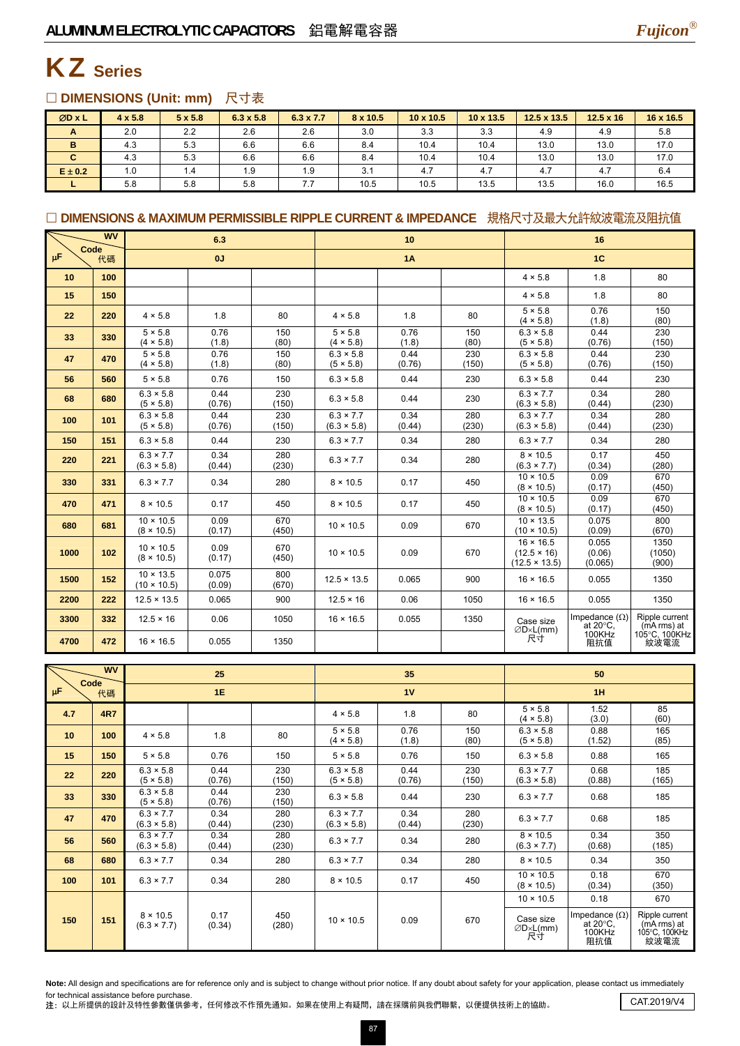

### KZ **Series**

### □ DIMENSIONS (Unit: mm) 尺寸表

| ØD x L      | $4 \times 5.8$ | $5 \times 5.8$ | $6.3 \times 5.8$ | $6.3 \times 7.7$ | 8 x 10.5 | $10 \times 10.5$ | $10 \times 13.5$ | 12.5 x 13.5 | $12.5 \times 16$ | 16 x 16.5 |
|-------------|----------------|----------------|------------------|------------------|----------|------------------|------------------|-------------|------------------|-----------|
| A           | 2.0            | 2.2            | 2.6              | 2.6              | 3.0      | 3.3              | 3.3              | 4.9         | 4.9              | 5.8       |
| в           | 4.3            | 5.3            | 6.6              | 6.6              | 8.4      | 10.4             | 10.4             | 13.0        | 13.0             | 17.0      |
| C.          | 4.3            | 5.3            | 6.6              | 6.6              | 8.4      | 10.4             | 10.4             | 13.0        | 13.0             | 17.0      |
| $E \pm 0.2$ | 1.0            | 1.4            | 1.9              | 1.9              | 3.1      | 4.7              | 4.7              | 4.7         | 4.7              | 6.4       |
|             | 5.8            | 5.8            | 5.8              | 7.7              | 10.5     | 10.5             | 13.5             | 13.5        | 16.0             | 16.5      |

### □ DIMENSIONS & MAXIMUM PERMISSIBLE RIPPLE CURRENT & IMPEDANCE 規格尺寸及最大允許紋波電流及阻抗值

| Code    | <b>WV</b> | 6.3                                    |                 |              | 10                                     |                |              | 16                                                             |                                            |                                 |
|---------|-----------|----------------------------------------|-----------------|--------------|----------------------------------------|----------------|--------------|----------------------------------------------------------------|--------------------------------------------|---------------------------------|
| $\mu$ F | 代碼        | 0J                                     |                 | 1A           |                                        |                | 1C           |                                                                |                                            |                                 |
| 10      | 100       |                                        |                 |              |                                        |                |              | $4 \times 5.8$                                                 | 1.8                                        | 80                              |
| 15      | 150       |                                        |                 |              |                                        |                |              | $4 \times 5.8$                                                 | 1.8                                        | 80                              |
| 22      | 220       | $4 \times 5.8$                         | 1.8             | 80           | $4 \times 5.8$                         | 1.8            | 80           | $5 \times 5.8$<br>(4 × 5.8)                                    | 0.76<br>(1.8)                              | 150<br>(80)                     |
| 33      | 330       | $5 \times 5.8$<br>$(4 \times 5.8)$     | 0.76<br>(1.8)   | 150<br>(80)  | $5 \times 5.8$<br>$(4 \times 5.8)$     | 0.76<br>(1.8)  | 150<br>(80)  | $6.3 \times 5.8$<br>(5 × 5.8)                                  | 0.44<br>(0.76)                             | 230<br>(150)                    |
| 47      | 470       | $5 \times 5.8$<br>$(4 \times 5.8)$     | 0.76<br>(1.8)   | 150<br>(80)  | $6.3 \times 5.8$<br>(5 × 5.8)          | 0.44<br>(0.76) | 230<br>(150) | $6.3 \times 5.8$<br>(5 × 5.8)                                  | 0.44<br>(0.76)                             | 230<br>(150)                    |
| 56      | 560       | $5 \times 5.8$                         | 0.76            | 150          | $6.3 \times 5.8$                       | 0.44           | 230          | $6.3 \times 5.8$                                               | 0.44                                       | 230                             |
| 68      | 680       | $6.3 \times 5.8$<br>(5 × 5.8)          | 0.44<br>(0.76)  | 230<br>(150) | $6.3 \times 5.8$                       | 0.44           | 230          | $6.3 \times 7.7$<br>$(6.3 \times 5.8)$                         | 0.34<br>(0.44)                             | 280<br>(230)                    |
| 100     | 101       | $6.3 \times 5.8$<br>(5 × 5.8)          | 0.44<br>(0.76)  | 230<br>(150) | $6.3 \times 7.7$<br>$(6.3 \times 5.8)$ | 0.34<br>(0.44) | 280<br>(230) | $6.3 \times 7.7$<br>$(6.3 \times 5.8)$                         | 0.34<br>(0.44)                             | 280<br>(230)                    |
| 150     | 151       | $6.3 \times 5.8$                       | 0.44            | 230          | $6.3 \times 7.7$                       | 0.34           | 280          | $6.3 \times 7.7$                                               | 0.34                                       | 280                             |
| 220     | 221       | $6.3 \times 7.7$<br>$(6.3 \times 5.8)$ | 0.34<br>(0.44)  | 280<br>(230) | $6.3 \times 7.7$                       | 0.34           | 280          | $8 \times 10.5$<br>$(6.3 \times 7.7)$                          | 0.17<br>(0.34)                             | 450<br>(280)                    |
| 330     | 331       | $6.3 \times 7.7$                       | 0.34            | 280          | $8 \times 10.5$                        | 0.17           | 450          | $10 \times 10.5$<br>$(8 \times 10.5)$                          | 0.09<br>(0.17)                             | 670<br>(450)                    |
| 470     | 471       | $8 \times 10.5$                        | 0.17            | 450          | $8 \times 10.5$                        | 0.17           | 450          | $10 \times 10.5$<br>$(8 \times 10.5)$                          | 0.09<br>(0.17)                             | 670<br>(450)                    |
| 680     | 681       | $10 \times 10.5$<br>$(8 \times 10.5)$  | 0.09<br>(0.17)  | 670<br>(450) | $10 \times 10.5$                       | 0.09           | 670          | $10 \times 13.5$<br>$(10 \times 10.5)$                         | 0.075<br>(0.09)                            | 800<br>(670)                    |
| 1000    | 102       | $10 \times 10.5$<br>$(8 \times 10.5)$  | 0.09<br>(0.17)  | 670<br>(450) | $10 \times 10.5$                       | 0.09           | 670          | $16 \times 16.5$<br>$(12.5 \times 16)$<br>$(12.5 \times 13.5)$ | 0.055<br>(0.06)<br>(0.065)                 | 1350<br>(1050)<br>(900)         |
| 1500    | 152       | $10 \times 13.5$<br>$(10 \times 10.5)$ | 0.075<br>(0.09) | 800<br>(670) | $12.5 \times 13.5$                     | 0.065          | 900          | $16 \times 16.5$                                               | 0.055                                      | 1350                            |
| 2200    | 222       | $12.5 \times 13.5$                     | 0.065           | 900          | $12.5 \times 16$                       | 0.06           | 1050         | $16 \times 16.5$                                               | 0.055                                      | 1350                            |
| 3300    | 332       | $12.5 \times 16$                       | 0.06            | 1050         | $16 \times 16.5$                       | 0.055          | 1350         | Case size<br>$\emptyset$ D×L(mm)                               | Impedance $(\Omega)$<br>at $20^{\circ}$ C, | Ripple current<br>$(mA rms)$ at |
| 4700    | 472       | $16 \times 16.5$                       | 0.055           | 1350         |                                        |                |              | 尺寸                                                             | 100KHz<br>阻抗值                              | 105°C, 100KHz<br>紋波電流           |

|         | <b>WV</b><br>25<br>Code |                                        |                | 35           |                                        | 50             |              |                                        |                                                             |                                                        |  |
|---------|-------------------------|----------------------------------------|----------------|--------------|----------------------------------------|----------------|--------------|----------------------------------------|-------------------------------------------------------------|--------------------------------------------------------|--|
| $\mu$ F | 代碼                      |                                        | 1E             |              |                                        | 1V             |              | 1H                                     |                                                             |                                                        |  |
| 4.7     | <b>4R7</b>              |                                        |                |              | $4 \times 5.8$                         | 1.8            | 80           | $5 \times 5.8$<br>$(4 \times 5.8)$     | 1.52<br>(3.0)                                               | 85<br>(60)                                             |  |
| 10      | 100                     | $4 \times 5.8$                         | 1.8            | 80           | $5 \times 5.8$<br>$(4 \times 5.8)$     | 0.76<br>(1.8)  | 150<br>(80)  | $6.3 \times 5.8$<br>(5 × 5.8)          | 0.88<br>(1.52)                                              | 165<br>(85)                                            |  |
| 15      | 150                     | $5 \times 5.8$                         | 0.76           | 150          | $5 \times 5.8$                         | 0.76           | 150          | $6.3 \times 5.8$                       | 0.88                                                        | 165                                                    |  |
| 22      | 220                     | $6.3 \times 5.8$<br>(5 × 5.8)          | 0.44<br>(0.76) | 230<br>(150) | $6.3 \times 5.8$<br>(5 × 5.8)          | 0.44<br>(0.76) | 230<br>(150) | $6.3 \times 7.7$<br>$(6.3 \times 5.8)$ | 0.68<br>(0.88)                                              | 185<br>(165)                                           |  |
| 33      | 330                     | $6.3 \times 5.8$<br>(5 × 5.8)          | 0.44<br>(0.76) | 230<br>(150) | $6.3 \times 5.8$                       | 0.44           | 230          | $6.3 \times 7.7$                       | 0.68                                                        | 185                                                    |  |
| 47      | 470                     | $6.3 \times 7.7$<br>$(6.3 \times 5.8)$ | 0.34<br>(0.44) | 280<br>(230) | $6.3 \times 7.7$<br>$(6.3 \times 5.8)$ | 0.34<br>(0.44) | 280<br>(230) | $6.3 \times 7.7$                       | 0.68                                                        | 185                                                    |  |
| 56      | 560                     | $6.3 \times 7.7$<br>$(6.3 \times 5.8)$ | 0.34<br>(0.44) | 280<br>(230) | $6.3 \times 7.7$                       | 0.34           | 280          | $8 \times 10.5$<br>$(6.3 \times 7.7)$  | 0.34<br>(0.68)                                              | 350<br>(185)                                           |  |
| 68      | 680                     | $6.3 \times 7.7$                       | 0.34           | 280          | $6.3 \times 7.7$                       | 0.34           | 280          | $8 \times 10.5$                        | 0.34                                                        | 350                                                    |  |
| 100     | 101                     | $6.3 \times 7.7$                       | 0.34           | 280          | $8 \times 10.5$                        | 0.17           | 450          | $10 \times 10.5$<br>$(8 \times 10.5)$  | 0.18<br>(0.34)                                              | 670<br>(350)                                           |  |
|         |                         |                                        |                |              |                                        |                |              | $10 \times 10.5$                       | 0.18                                                        | 670                                                    |  |
| 150     | 151                     | $8 \times 10.5$<br>$(6.3 \times 7.7)$  | 0.17<br>(0.34) | 450<br>(280) | $10 \times 10.5$                       | 0.09           | 670          | Case size<br>$\emptyset$ D×L(mm)<br>尺寸 | Impedance $(\Omega)$<br>at $20^{\circ}$ C,<br>100KHz<br>阻抗值 | Ripple current<br>(mA rms) at<br>105°C, 100KHz<br>紋波電流 |  |

Note: All design and specifications are for reference only and is subject to change without prior notice. If any doubt about safety for your application, please contact us immediately for technical assistance before purchase.

for technical assistance before purchase.<br>注: 以上所提供的設計及特性參數僅供參考,任何修改不作預先通知。如果在使用上有疑問,請在採購前與我們聯繫,以便提供技術上的協助。 CAT.2019/V4